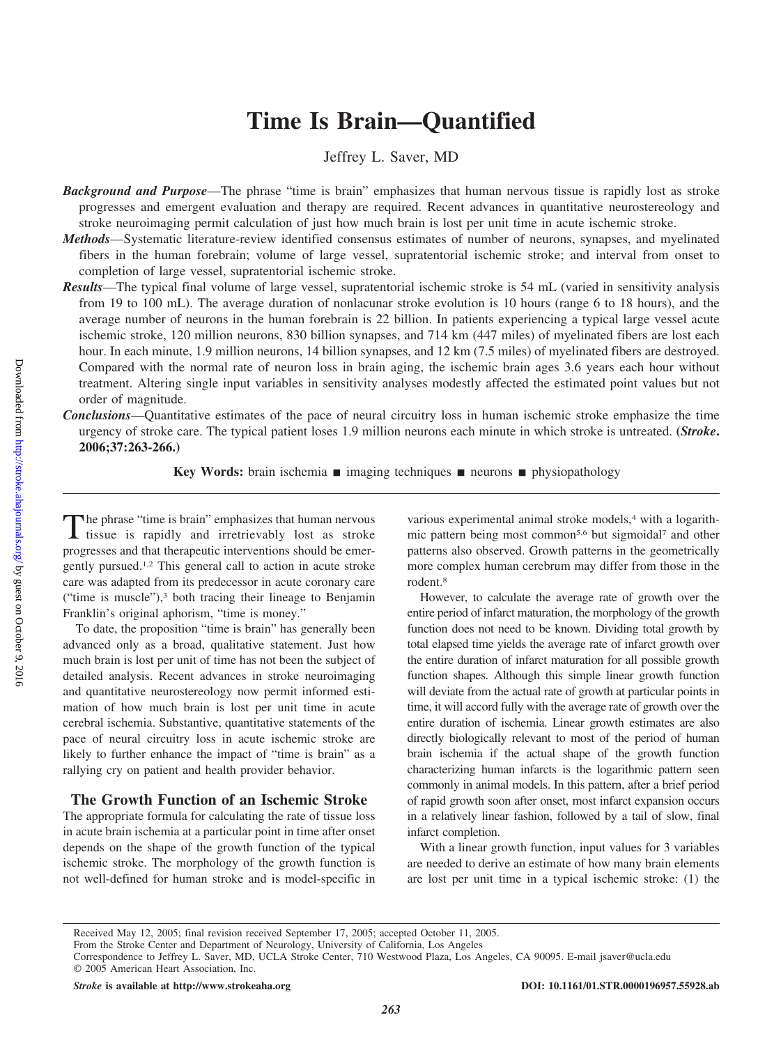# **Time Is Brain—Quantified**

Jeffrey L. Saver, MD

*Background and Purpose*—The phrase "time is brain" emphasizes that human nervous tissue is rapidly lost as stroke progresses and emergent evaluation and therapy are required. Recent advances in quantitative neurostereology and stroke neuroimaging permit calculation of just how much brain is lost per unit time in acute ischemic stroke.

- *Methods*—Systematic literature-review identified consensus estimates of number of neurons, synapses, and myelinated fibers in the human forebrain; volume of large vessel, supratentorial ischemic stroke; and interval from onset to completion of large vessel, supratentorial ischemic stroke.
- *Results*—The typical final volume of large vessel, supratentorial ischemic stroke is 54 mL (varied in sensitivity analysis from 19 to 100 mL). The average duration of nonlacunar stroke evolution is 10 hours (range 6 to 18 hours), and the average number of neurons in the human forebrain is 22 billion. In patients experiencing a typical large vessel acute ischemic stroke, 120 million neurons, 830 billion synapses, and 714 km (447 miles) of myelinated fibers are lost each hour. In each minute, 1.9 million neurons, 14 billion synapses, and 12 km (7.5 miles) of myelinated fibers are destroyed. Compared with the normal rate of neuron loss in brain aging, the ischemic brain ages 3.6 years each hour without treatment. Altering single input variables in sensitivity analyses modestly affected the estimated point values but not order of magnitude.
- *Conclusions*—Quantitative estimates of the pace of neural circuitry loss in human ischemic stroke emphasize the time urgency of stroke care. The typical patient loses 1.9 million neurons each minute in which stroke is untreated. **(***Stroke***. 2006;37:263-266.)**

**Key Words:** brain ischemia  $\blacksquare$  imaging techniques  $\blacksquare$  neurons  $\blacksquare$  physiopathology

The phrase "time is brain" emphasizes that human nervous tissue is rapidly and irretrievably lost as stroke progresses and that therapeutic interventions should be emergently pursued.1,2 This general call to action in acute stroke care was adapted from its predecessor in acute coronary care ("time is muscle"),3 both tracing their lineage to Benjamin Franklin's original aphorism, "time is money."

To date, the proposition "time is brain" has generally been advanced only as a broad, qualitative statement. Just how much brain is lost per unit of time has not been the subject of detailed analysis. Recent advances in stroke neuroimaging and quantitative neurostereology now permit informed estimation of how much brain is lost per unit time in acute cerebral ischemia. Substantive, quantitative statements of the pace of neural circuitry loss in acute ischemic stroke are likely to further enhance the impact of "time is brain" as a rallying cry on patient and health provider behavior.

## **The Growth Function of an Ischemic Stroke**

The appropriate formula for calculating the rate of tissue loss in acute brain ischemia at a particular point in time after onset depends on the shape of the growth function of the typical ischemic stroke. The morphology of the growth function is not well-defined for human stroke and is model-specific in

various experimental animal stroke models,<sup>4</sup> with a logarithmic pattern being most common<sup>5,6</sup> but sigmoidal<sup>7</sup> and other patterns also observed. Growth patterns in the geometrically more complex human cerebrum may differ from those in the rodent.8

However, to calculate the average rate of growth over the entire period of infarct maturation, the morphology of the growth function does not need to be known. Dividing total growth by total elapsed time yields the average rate of infarct growth over the entire duration of infarct maturation for all possible growth function shapes. Although this simple linear growth function will deviate from the actual rate of growth at particular points in time, it will accord fully with the average rate of growth over the entire duration of ischemia. Linear growth estimates are also directly biologically relevant to most of the period of human brain ischemia if the actual shape of the growth function characterizing human infarcts is the logarithmic pattern seen commonly in animal models. In this pattern, after a brief period of rapid growth soon after onset, most infarct expansion occurs in a relatively linear fashion, followed by a tail of slow, final infarct completion.

With a linear growth function, input values for 3 variables are needed to derive an estimate of how many brain elements are lost per unit time in a typical ischemic stroke: (1) the

Received May 12, 2005; final revision received September 17, 2005; accepted October 11, 2005.

From the Stroke Center and Department of Neurology, University of California, Los Angeles

Correspondence to Jeffrey L. Saver, MD, UCLA Stroke Center, 710 Westwood Plaza, Los Angeles, CA 90095. E-mail jsaver@ucla.edu © 2005 American Heart Association, Inc.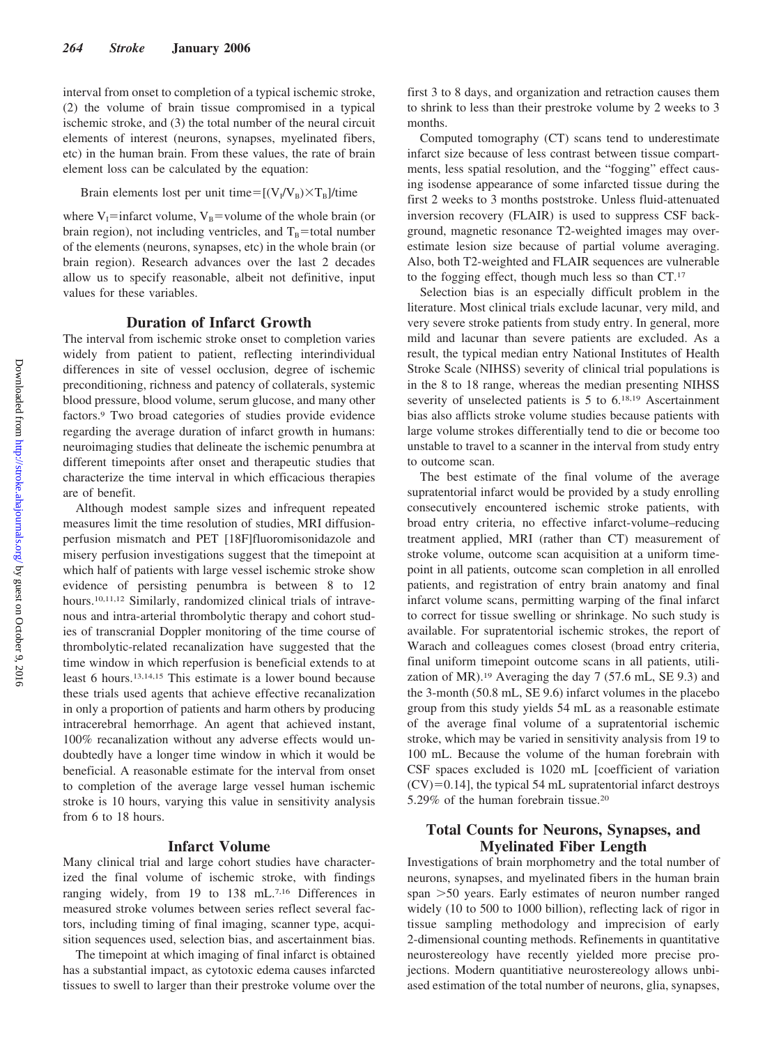interval from onset to completion of a typical ischemic stroke, (2) the volume of brain tissue compromised in a typical ischemic stroke, and (3) the total number of the neural circuit elements of interest (neurons, synapses, myelinated fibers, etc) in the human brain. From these values, the rate of brain element loss can be calculated by the equation:

Brain elements lost per unit time= $[(V_I/V_B) \times T_B]/time$ 

where  $V_1$ = infarct volume,  $V_B$ = volume of the whole brain (or brain region), not including ventricles, and  $T_B$ =total number of the elements (neurons, synapses, etc) in the whole brain (or brain region). Research advances over the last 2 decades allow us to specify reasonable, albeit not definitive, input values for these variables.

# **Duration of Infarct Growth**

The interval from ischemic stroke onset to completion varies widely from patient to patient, reflecting interindividual differences in site of vessel occlusion, degree of ischemic preconditioning, richness and patency of collaterals, systemic blood pressure, blood volume, serum glucose, and many other factors.9 Two broad categories of studies provide evidence regarding the average duration of infarct growth in humans: neuroimaging studies that delineate the ischemic penumbra at different timepoints after onset and therapeutic studies that characterize the time interval in which efficacious therapies are of benefit.

Although modest sample sizes and infrequent repeated measures limit the time resolution of studies, MRI diffusionperfusion mismatch and PET [18F]fluoromisonidazole and misery perfusion investigations suggest that the timepoint at which half of patients with large vessel ischemic stroke show evidence of persisting penumbra is between 8 to 12 hours.<sup>10,11,12</sup> Similarly, randomized clinical trials of intravenous and intra-arterial thrombolytic therapy and cohort studies of transcranial Doppler monitoring of the time course of thrombolytic-related recanalization have suggested that the time window in which reperfusion is beneficial extends to at least 6 hours.13,14,15 This estimate is a lower bound because these trials used agents that achieve effective recanalization in only a proportion of patients and harm others by producing intracerebral hemorrhage. An agent that achieved instant, 100% recanalization without any adverse effects would undoubtedly have a longer time window in which it would be beneficial. A reasonable estimate for the interval from onset to completion of the average large vessel human ischemic stroke is 10 hours, varying this value in sensitivity analysis from 6 to 18 hours.

#### **Infarct Volume**

Many clinical trial and large cohort studies have characterized the final volume of ischemic stroke, with findings ranging widely, from 19 to 138 mL.7,16 Differences in measured stroke volumes between series reflect several factors, including timing of final imaging, scanner type, acquisition sequences used, selection bias, and ascertainment bias.

The timepoint at which imaging of final infarct is obtained has a substantial impact, as cytotoxic edema causes infarcted tissues to swell to larger than their prestroke volume over the

first 3 to 8 days, and organization and retraction causes them to shrink to less than their prestroke volume by 2 weeks to 3 months.

Computed tomography (CT) scans tend to underestimate infarct size because of less contrast between tissue compartments, less spatial resolution, and the "fogging" effect causing isodense appearance of some infarcted tissue during the first 2 weeks to 3 months poststroke. Unless fluid-attenuated inversion recovery (FLAIR) is used to suppress CSF background, magnetic resonance T2-weighted images may overestimate lesion size because of partial volume averaging. Also, both T2-weighted and FLAIR sequences are vulnerable to the fogging effect, though much less so than CT.17

Selection bias is an especially difficult problem in the literature. Most clinical trials exclude lacunar, very mild, and very severe stroke patients from study entry. In general, more mild and lacunar than severe patients are excluded. As a result, the typical median entry National Institutes of Health Stroke Scale (NIHSS) severity of clinical trial populations is in the 8 to 18 range, whereas the median presenting NIHSS severity of unselected patients is 5 to  $6.18,19$  Ascertainment bias also afflicts stroke volume studies because patients with large volume strokes differentially tend to die or become too unstable to travel to a scanner in the interval from study entry to outcome scan.

The best estimate of the final volume of the average supratentorial infarct would be provided by a study enrolling consecutively encountered ischemic stroke patients, with broad entry criteria, no effective infarct-volume–reducing treatment applied, MRI (rather than CT) measurement of stroke volume, outcome scan acquisition at a uniform timepoint in all patients, outcome scan completion in all enrolled patients, and registration of entry brain anatomy and final infarct volume scans, permitting warping of the final infarct to correct for tissue swelling or shrinkage. No such study is available. For supratentorial ischemic strokes, the report of Warach and colleagues comes closest (broad entry criteria, final uniform timepoint outcome scans in all patients, utilization of MR).19 Averaging the day 7 (57.6 mL, SE 9.3) and the 3-month (50.8 mL, SE 9.6) infarct volumes in the placebo group from this study yields 54 mL as a reasonable estimate of the average final volume of a supratentorial ischemic stroke, which may be varied in sensitivity analysis from 19 to 100 mL. Because the volume of the human forebrain with CSF spaces excluded is 1020 mL [coefficient of variation  $(CV) = 0.14$ , the typical 54 mL supratentorial infarct destroys 5.29% of the human forebrain tissue.20

# **Total Counts for Neurons, Synapses, and Myelinated Fiber Length**

Investigations of brain morphometry and the total number of neurons, synapses, and myelinated fibers in the human brain span  $>50$  years. Early estimates of neuron number ranged widely (10 to 500 to 1000 billion), reflecting lack of rigor in tissue sampling methodology and imprecision of early 2-dimensional counting methods. Refinements in quantitative neurostereology have recently yielded more precise projections. Modern quantitiative neurostereology allows unbiased estimation of the total number of neurons, glia, synapses,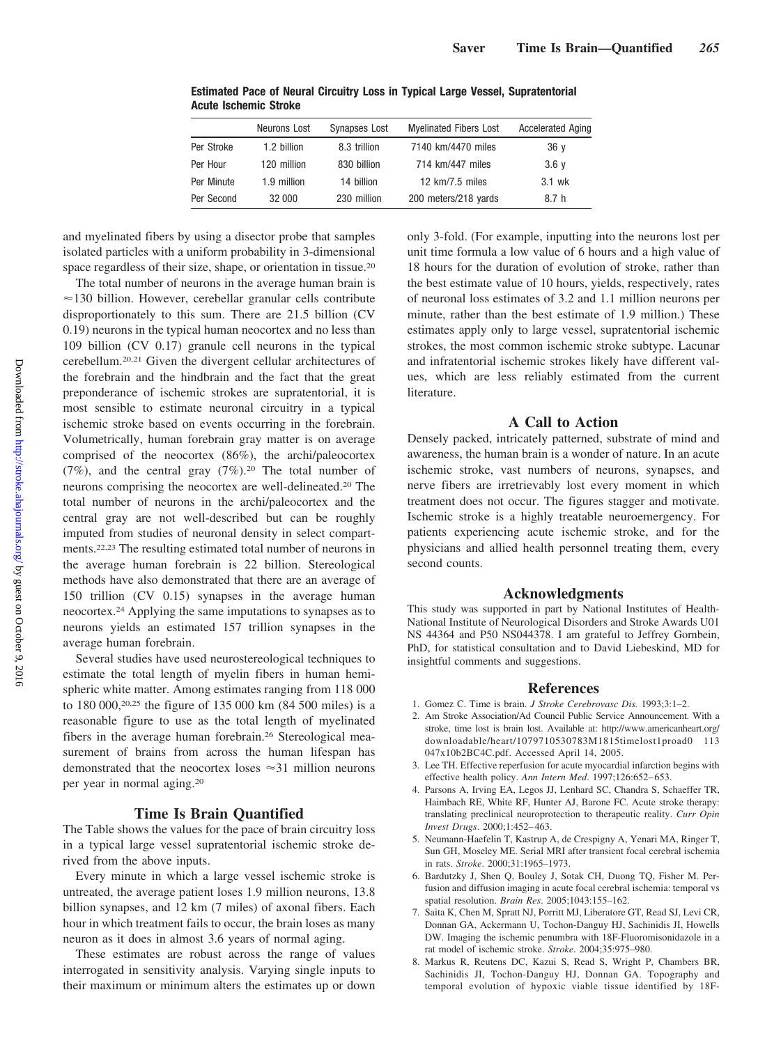|            | Neurons Lost | Synapses Lost | <b>Myelinated Fibers Lost</b> | <b>Accelerated Aging</b> |
|------------|--------------|---------------|-------------------------------|--------------------------|
| Per Stroke | 1.2 billion  | 8.3 trillion  | 7140 km/4470 miles            | 36y                      |
| Per Hour   | 120 million  | 830 billion   | 714 km/447 miles              | 3.6 <sub>V</sub>         |
| Per Minute | 1.9 million  | 14 billion    | 12 $km/7.5$ miles             | 3.1 wk                   |
| Per Second | 32 000       | 230 million   | 200 meters/218 yards          | 8.7 h                    |

**Estimated Pace of Neural Circuitry Loss in Typical Large Vessel, Supratentorial Acute Ischemic Stroke**

and myelinated fibers by using a disector probe that samples isolated particles with a uniform probability in 3-dimensional space regardless of their size, shape, or orientation in tissue.20

The total number of neurons in the average human brain is  $\approx$ 130 billion. However, cerebellar granular cells contribute disproportionately to this sum. There are 21.5 billion (CV 0.19) neurons in the typical human neocortex and no less than 109 billion (CV 0.17) granule cell neurons in the typical cerebellum.20,21 Given the divergent cellular architectures of the forebrain and the hindbrain and the fact that the great preponderance of ischemic strokes are supratentorial, it is most sensible to estimate neuronal circuitry in a typical ischemic stroke based on events occurring in the forebrain. Volumetrically, human forebrain gray matter is on average comprised of the neocortex (86%), the archi/paleocortex (7%), and the central gray (7%).<sup>20</sup> The total number of neurons comprising the neocortex are well-delineated.20 The total number of neurons in the archi/paleocortex and the central gray are not well-described but can be roughly imputed from studies of neuronal density in select compartments.22,23 The resulting estimated total number of neurons in the average human forebrain is 22 billion. Stereological methods have also demonstrated that there are an average of 150 trillion (CV 0.15) synapses in the average human neocortex.24 Applying the same imputations to synapses as to neurons yields an estimated 157 trillion synapses in the average human forebrain.

Several studies have used neurostereological techniques to estimate the total length of myelin fibers in human hemispheric white matter. Among estimates ranging from 118 000 to 180 000,20,25 the figure of 135 000 km (84 500 miles) is a reasonable figure to use as the total length of myelinated fibers in the average human forebrain.26 Stereological measurement of brains from across the human lifespan has demonstrated that the neocortex loses  $\approx$  31 million neurons per year in normal aging.20

#### **Time Is Brain Quantified**

The Table shows the values for the pace of brain circuitry loss in a typical large vessel supratentorial ischemic stroke derived from the above inputs.

Every minute in which a large vessel ischemic stroke is untreated, the average patient loses 1.9 million neurons, 13.8 billion synapses, and 12 km (7 miles) of axonal fibers. Each hour in which treatment fails to occur, the brain loses as many neuron as it does in almost 3.6 years of normal aging.

These estimates are robust across the range of values interrogated in sensitivity analysis. Varying single inputs to their maximum or minimum alters the estimates up or down

only 3-fold. (For example, inputting into the neurons lost per unit time formula a low value of 6 hours and a high value of 18 hours for the duration of evolution of stroke, rather than the best estimate value of 10 hours, yields, respectively, rates of neuronal loss estimates of 3.2 and 1.1 million neurons per minute, rather than the best estimate of 1.9 million.) These estimates apply only to large vessel, supratentorial ischemic strokes, the most common ischemic stroke subtype. Lacunar and infratentorial ischemic strokes likely have different values, which are less reliably estimated from the current literature.

### **A Call to Action**

Densely packed, intricately patterned, substrate of mind and awareness, the human brain is a wonder of nature. In an acute ischemic stroke, vast numbers of neurons, synapses, and nerve fibers are irretrievably lost every moment in which treatment does not occur. The figures stagger and motivate. Ischemic stroke is a highly treatable neuroemergency. For patients experiencing acute ischemic stroke, and for the physicians and allied health personnel treating them, every second counts.

#### **Acknowledgments**

This study was supported in part by National Institutes of Health-National Institute of Neurological Disorders and Stroke Awards U01 NS 44364 and P50 NS044378. I am grateful to Jeffrey Gornbein, PhD, for statistical consultation and to David Liebeskind, MD for insightful comments and suggestions.

#### **References**

- 1. Gomez C. Time is brain. *J Stroke Cerebrovasc Dis.* 1993;3:1–2.
- 2. Am Stroke Association/Ad Council Public Service Announcement. With a stroke, time lost is brain lost. Available at: http://www.americanheart.org/ downloadable/heart/1079710530783M1815timelost1proad0 113 047x10b2BC4C.pdf. Accessed April 14, 2005.
- 3. Lee TH. Effective reperfusion for acute myocardial infarction begins with effective health policy. *Ann Intern Med*. 1997;126:652– 653.
- 4. Parsons A, Irving EA, Legos JJ, Lenhard SC, Chandra S, Schaeffer TR, Haimbach RE, White RF, Hunter AJ, Barone FC. Acute stroke therapy: translating preclinical neuroprotection to therapeutic reality. *Curr Opin Invest Drugs*. 2000;1:452– 463.
- 5. Neumann-Haefelin T, Kastrup A, de Crespigny A, Yenari MA, Ringer T, Sun GH, Moseley ME. Serial MRI after transient focal cerebral ischemia in rats. *Stroke*. 2000;31:1965–1973.
- 6. Bardutzky J, Shen Q, Bouley J, Sotak CH, Duong TQ, Fisher M. Perfusion and diffusion imaging in acute focal cerebral ischemia: temporal vs spatial resolution. *Brain Res*. 2005;1043:155–162.
- 7. Saita K, Chen M, Spratt NJ, Porritt MJ, Liberatore GT, Read SJ, Levi CR, Donnan GA, Ackermann U, Tochon-Danguy HJ, Sachinidis JI, Howells DW. Imaging the ischemic penumbra with 18F-Fluoromisonidazole in a rat model of ischemic stroke. *Stroke*. 2004;35:975–980.
- 8. Markus R, Reutens DC, Kazui S, Read S, Wright P, Chambers BR, Sachinidis JI, Tochon-Danguy HJ, Donnan GA. Topography and temporal evolution of hypoxic viable tissue identified by 18F-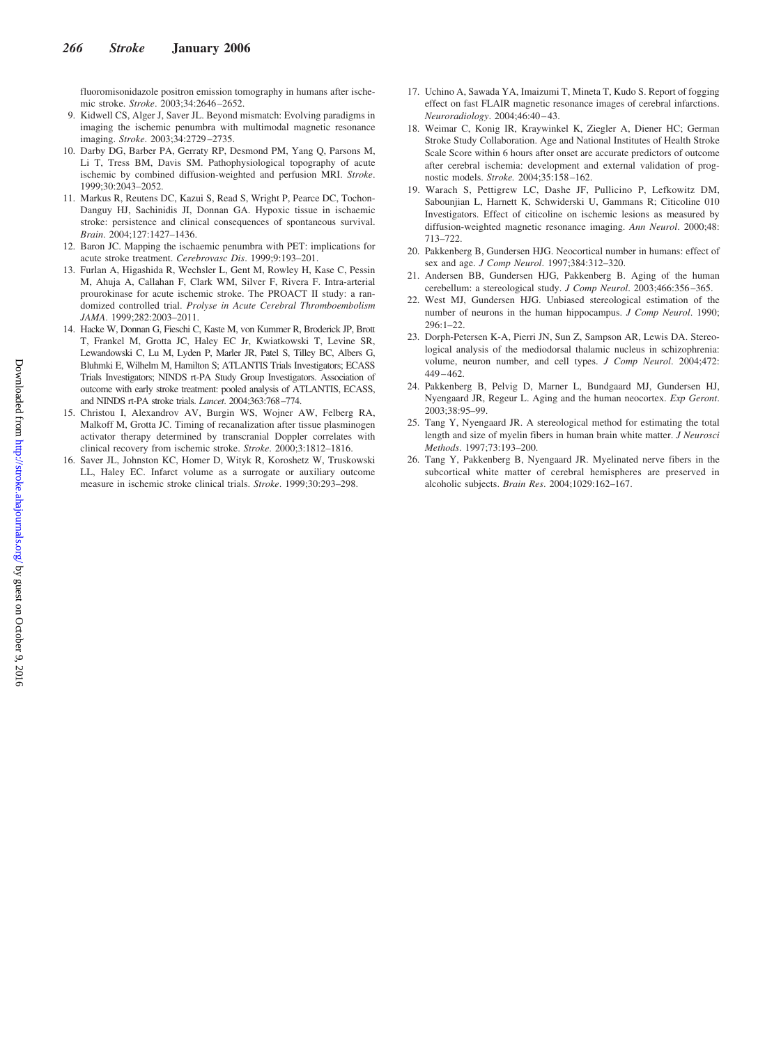fluoromisonidazole positron emission tomography in humans after ischemic stroke. *Stroke*. 2003;34:2646 –2652.

- 9. Kidwell CS, Alger J, Saver JL. Beyond mismatch: Evolving paradigms in imaging the ischemic penumbra with multimodal magnetic resonance imaging. *Stroke*. 2003;34:2729 –2735.
- 10. Darby DG, Barber PA, Gerraty RP, Desmond PM, Yang Q, Parsons M, Li T, Tress BM, Davis SM. Pathophysiological topography of acute ischemic by combined diffusion-weighted and perfusion MRI. *Stroke*. 1999;30:2043–2052.
- 11. Markus R, Reutens DC, Kazui S, Read S, Wright P, Pearce DC, Tochon-Danguy HJ, Sachinidis JI, Donnan GA. Hypoxic tissue in ischaemic stroke: persistence and clinical consequences of spontaneous survival. *Brain*. 2004;127:1427–1436.
- 12. Baron JC. Mapping the ischaemic penumbra with PET: implications for acute stroke treatment. *Cerebrovasc Dis*. 1999;9:193–201.
- 13. Furlan A, Higashida R, Wechsler L, Gent M, Rowley H, Kase C, Pessin M, Ahuja A, Callahan F, Clark WM, Silver F, Rivera F. Intra-arterial prourokinase for acute ischemic stroke. The PROACT II study: a randomized controlled trial. *Prolyse in Acute Cerebral Thromboembolism JAMA*. 1999;282:2003–2011.
- 14. Hacke W, Donnan G, Fieschi C, Kaste M, von Kummer R, Broderick JP, Brott T, Frankel M, Grotta JC, Haley EC Jr, Kwiatkowski T, Levine SR, Lewandowski C, Lu M, Lyden P, Marler JR, Patel S, Tilley BC, Albers G, Bluhmki E, Wilhelm M, Hamilton S; ATLANTIS Trials Investigators; ECASS Trials Investigators; NINDS rt-PA Study Group Investigators. Association of outcome with early stroke treatment: pooled analysis of ATLANTIS, ECASS, and NINDS rt-PA stroke trials. *Lancet*. 2004;363:768–774.
- 15. Christou I, Alexandrov AV, Burgin WS, Wojner AW, Felberg RA, Malkoff M, Grotta JC. Timing of recanalization after tissue plasminogen activator therapy determined by transcranial Doppler correlates with clinical recovery from ischemic stroke. *Stroke*. 2000;3:1812–1816.
- 16. Saver JL, Johnston KC, Homer D, Wityk R, Koroshetz W, Truskowski LL, Haley EC. Infarct volume as a surrogate or auxiliary outcome measure in ischemic stroke clinical trials. *Stroke*. 1999;30:293–298.
- 17. Uchino A, Sawada YA, Imaizumi T, Mineta T, Kudo S. Report of fogging effect on fast FLAIR magnetic resonance images of cerebral infarctions. *Neuroradiology*. 2004;46:40 – 43.
- 18. Weimar C, Konig IR, Kraywinkel K, Ziegler A, Diener HC; German Stroke Study Collaboration. Age and National Institutes of Health Stroke Scale Score within 6 hours after onset are accurate predictors of outcome after cerebral ischemia: development and external validation of prognostic models. *Stroke.* 2004;35:158 –162.
- 19. Warach S, Pettigrew LC, Dashe JF, Pullicino P, Lefkowitz DM, Sabounjian L, Harnett K, Schwiderski U, Gammans R; Citicoline 010 Investigators. Effect of citicoline on ischemic lesions as measured by diffusion-weighted magnetic resonance imaging. *Ann Neurol*. 2000;48: 713–722.
- 20. Pakkenberg B, Gundersen HJG. Neocortical number in humans: effect of sex and age. *J Comp Neurol*. 1997;384:312–320.
- 21. Andersen BB, Gundersen HJG, Pakkenberg B. Aging of the human cerebellum: a stereological study. *J Comp Neurol*. 2003;466:356 –365.
- 22. West MJ, Gundersen HJG. Unbiased stereological estimation of the number of neurons in the human hippocampus. *J Comp Neurol*. 1990; 296:1–22.
- 23. Dorph-Petersen K-A, Pierri JN, Sun Z, Sampson AR, Lewis DA. Stereological analysis of the mediodorsal thalamic nucleus in schizophrenia: volume, neuron number, and cell types. *J Comp Neurol*. 2004;472:  $449 - 462$ .
- 24. Pakkenberg B, Pelvig D, Marner L, Bundgaard MJ, Gundersen HJ, Nyengaard JR, Regeur L. Aging and the human neocortex. *Exp Geront*. 2003;38:95–99.
- 25. Tang Y, Nyengaard JR. A stereological method for estimating the total length and size of myelin fibers in human brain white matter. *J Neurosci Methods*. 1997;73:193–200.
- 26. Tang Y, Pakkenberg B, Nyengaard JR. Myelinated nerve fibers in the subcortical white matter of cerebral hemispheres are preserved in alcoholic subjects. *Brain Res*. 2004;1029:162–167.